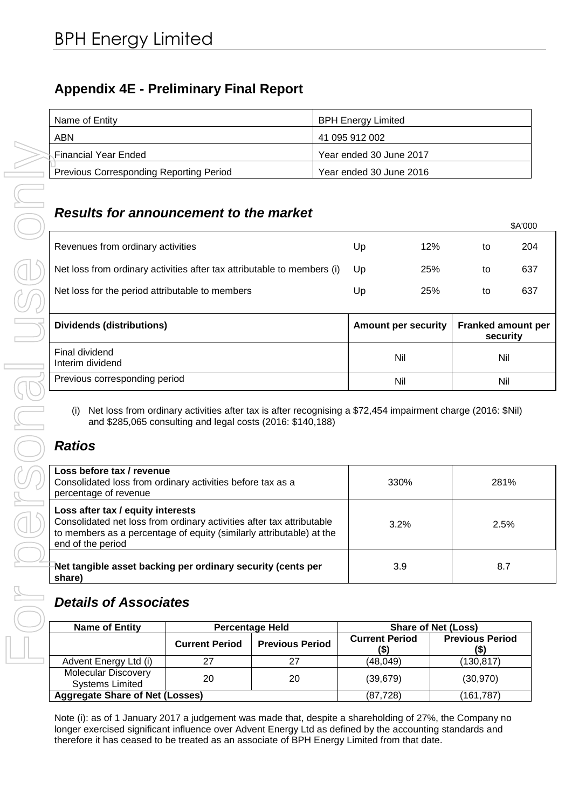# **Appendix 4E - Preliminary Final Report**

| Name of Entity                                 | <b>BPH Energy Limited</b> |
|------------------------------------------------|---------------------------|
| ABN                                            | 41 095 912 002            |
| √Financial Year Ended⊱                         | Year ended 30 June 2017   |
| <b>Previous Corresponding Reporting Period</b> | Year ended 30 June 2016   |

# *Results for announcement to the market*

| <b>Financial Year Ended</b>                                                                                                                                                                       |                                                                                                                                                                           |                        | Year ended 30 June 2017          |                                   |                                |
|---------------------------------------------------------------------------------------------------------------------------------------------------------------------------------------------------|---------------------------------------------------------------------------------------------------------------------------------------------------------------------------|------------------------|----------------------------------|-----------------------------------|--------------------------------|
| <b>Previous Corresponding Reporting Period</b>                                                                                                                                                    |                                                                                                                                                                           |                        | Year ended 30 June 2016          |                                   |                                |
| <b>Results for announcement to the market</b>                                                                                                                                                     |                                                                                                                                                                           |                        |                                  |                                   | \$A'000                        |
| Revenues from ordinary activities                                                                                                                                                                 |                                                                                                                                                                           |                        | Up                               | 12%                               | to                             |
| Net loss from ordinary activities after tax attributable to members (i)                                                                                                                           |                                                                                                                                                                           |                        | Up                               | 25%                               | to                             |
| Net loss for the period attributable to members                                                                                                                                                   |                                                                                                                                                                           |                        | Up                               | 25%                               | to                             |
| <b>Dividends (distributions)</b>                                                                                                                                                                  |                                                                                                                                                                           |                        | <b>Amount per security</b>       |                                   | Franked amount per<br>security |
| Final dividend<br>Interim dividend                                                                                                                                                                |                                                                                                                                                                           |                        | Nil                              |                                   | Nil                            |
| Previous corresponding period                                                                                                                                                                     |                                                                                                                                                                           |                        | Nil                              |                                   | Nil                            |
| (i)<br><b>Ratios</b><br>Loss before tax / revenue                                                                                                                                                 | Net loss from ordinary activities after tax is after recognising a \$72,454 impairment charge (2016: \$Nil)<br>and \$285,065 consulting and legal costs (2016: \$140,188) |                        |                                  |                                   |                                |
|                                                                                                                                                                                                   |                                                                                                                                                                           |                        |                                  |                                   |                                |
| Consolidated loss from ordinary activities before tax as a<br>percentage of revenue<br>Loss after tax / equity interests<br>Consolidated net loss from ordinary activities after tax attributable |                                                                                                                                                                           |                        | 330%<br>3.2%                     |                                   | 281%<br>2.5%                   |
| to members as a percentage of equity (similarly attributable) at the<br>end of the period                                                                                                         |                                                                                                                                                                           |                        |                                  |                                   |                                |
| Net tangible asset backing per ordinary security (cents per<br>share)                                                                                                                             |                                                                                                                                                                           |                        | 3.9                              |                                   | 8.7                            |
| <b>Details of Associates</b>                                                                                                                                                                      |                                                                                                                                                                           |                        |                                  |                                   |                                |
| <b>Name of Entity</b>                                                                                                                                                                             |                                                                                                                                                                           | <b>Percentage Held</b> |                                  | <b>Share of Net (Loss)</b>        |                                |
|                                                                                                                                                                                                   | <b>Current Period</b>                                                                                                                                                     | <b>Previous Period</b> | <b>Current Period</b><br>$($ \$) | <b>Previous Period</b><br>$($ \$) |                                |
| Advent Energy Ltd (i)                                                                                                                                                                             | 27                                                                                                                                                                        | 27                     | (48, 049)                        | (130, 817)                        |                                |
| <b>Molecular Discovery</b><br><b>Systems Limited</b><br><b>Aggregate Share of Net (Losses)</b>                                                                                                    | 20                                                                                                                                                                        | 20                     | (39, 679)<br>(87, 728)           | (30, 970)<br>(161, 787)           |                                |

# *Ratios*

| Loss before tax / revenue<br>Consolidated loss from ordinary activities before tax as a<br>percentage of revenue                                                                                        | <b>330%</b> | 281% |
|---------------------------------------------------------------------------------------------------------------------------------------------------------------------------------------------------------|-------------|------|
| Loss after tax / equity interests<br>Consolidated net loss from ordinary activities after tax attributable<br>to members as a percentage of equity (similarly attributable) at the<br>end of the period | 3.2%        | 2.5% |
| Net tangible asset backing per ordinary security (cents per<br>share)                                                                                                                                   | 3.9         | 8.7  |

# *Details of Associates*

| <b>Name of Entity</b>                                | <b>Percentage Held</b> |                        |                       | <b>Share of Net (Loss)</b>     |
|------------------------------------------------------|------------------------|------------------------|-----------------------|--------------------------------|
|                                                      | <b>Current Period</b>  | <b>Previous Period</b> | <b>Current Period</b> | <b>Previous Period</b><br>(\$) |
| Advent Energy Ltd (i)                                | 27                     | 27                     | (48, 049)             | (130,817)                      |
| <b>Molecular Discovery</b><br><b>Systems Limited</b> | 20                     | 20                     | (39, 679)             | (30, 970)                      |
| <b>Aggregate Share of Net (Losses)</b>               |                        |                        | (87.728)              | (161,787)                      |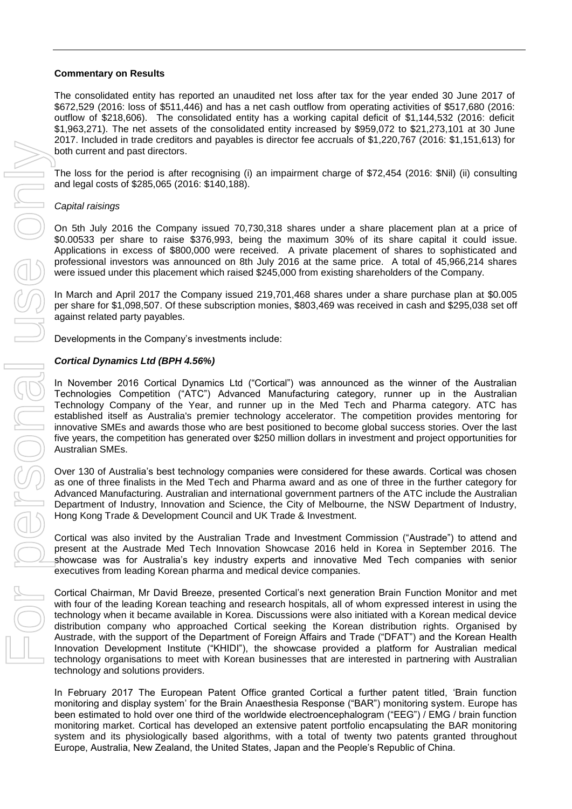#### **Commentary on Results**

The consolidated entity has reported an unaudited net loss after tax for the year ended 30 June 2017 of \$672,529 (2016: loss of \$511,446) and has a net cash outflow from operating activities of \$517,680 (2016: outflow of \$218,606). The consolidated entity has a working capital deficit of \$1,144,532 (2016: deficit \$1,963,271). The net assets of the consolidated entity increased by \$959,072 to \$21,273,101 at 30 June 2017. Included in trade creditors and payables is director fee accruals of \$1,220,767 (2016: \$1,151,613) for both current and past directors.

The loss for the period is after recognising (i) an impairment charge of \$72,454 (2016: \$Nil) (ii) consulting and legal costs of \$285,065 (2016: \$140,188).

#### *Capital raisings*

On 5th July 2016 the Company issued 70,730,318 shares under a share placement plan at a price of \$0.00533 per share to raise \$376,993, being the maximum 30% of its share capital it could issue. Applications in excess of \$800,000 were received. A private placement of shares to sophisticated and professional investors was announced on 8th July 2016 at the same price. A total of 45,966,214 shares were issued under this placement which raised \$245,000 from existing shareholders of the Company.

In March and April 2017 the Company issued 219,701,468 shares under a share purchase plan at \$0.005 per share for \$1,098,507. Of these subscription monies, \$803,469 was received in cash and \$295,038 set off against related party payables.

Developments in the Company's investments include:

#### *Cortical Dynamics Ltd (BPH 4.56%)*

In November 2016 Cortical Dynamics Ltd ("Cortical") was announced as the winner of the Australian Technologies Competition ("ATC") Advanced Manufacturing category, runner up in the Australian Technology Company of the Year, and runner up in the Med Tech and Pharma category. ATC has established itself as Australia's premier technology accelerator. The competition provides mentoring for innovative SMEs and awards those who are best positioned to become global success stories. Over the last five years, the competition has generated over \$250 million dollars in investment and project opportunities for Australian SMEs.

Over 130 of Australia's best technology companies were considered for these awards. Cortical was chosen as one of three finalists in the Med Tech and Pharma award and as one of three in the further category for Advanced Manufacturing. Australian and international government partners of the ATC include the Australian Department of Industry, Innovation and Science, the City of Melbourne, the NSW Department of Industry, Hong Kong Trade & Development Council and UK Trade & Investment.

Cortical was also invited by the Australian Trade and Investment Commission ("Austrade") to attend and present at the Austrade Med Tech Innovation Showcase 2016 held in Korea in September 2016. The showcase was for Australia's key industry experts and innovative Med Tech companies with senior executives from leading Korean pharma and medical device companies.

Cortical Chairman, Mr David Breeze, presented Cortical's next generation Brain Function Monitor and met with four of the leading Korean teaching and research hospitals, all of whom expressed interest in using the technology when it became available in Korea. Discussions were also initiated with a Korean medical device distribution company who approached Cortical seeking the Korean distribution rights. Organised by Austrade, with the support of the Department of Foreign Affairs and Trade ("DFAT") and the Korean Health Innovation Development Institute ("KHIDI"), the showcase provided a platform for Australian medical technology organisations to meet with Korean businesses that are interested in partnering with Australian technology and solutions providers. Europe, and the competition is the the China. For the United States, The China. For person is a basic for the United States, Japan and the United States, Japan and the United States (2016) and the United States (2016) and

In February 2017 The European Patent Office granted Cortical a further patent titled, 'Brain function monitoring and display system' for the Brain Anaesthesia Response ("BAR") monitoring system. Europe has been estimated to hold over one third of the worldwide electroencephalogram ("EEG") / EMG / brain function monitoring market. Cortical has developed an extensive patent portfolio encapsulating the BAR monitoring system and its physiologically based algorithms, with a total of twenty two patents granted throughout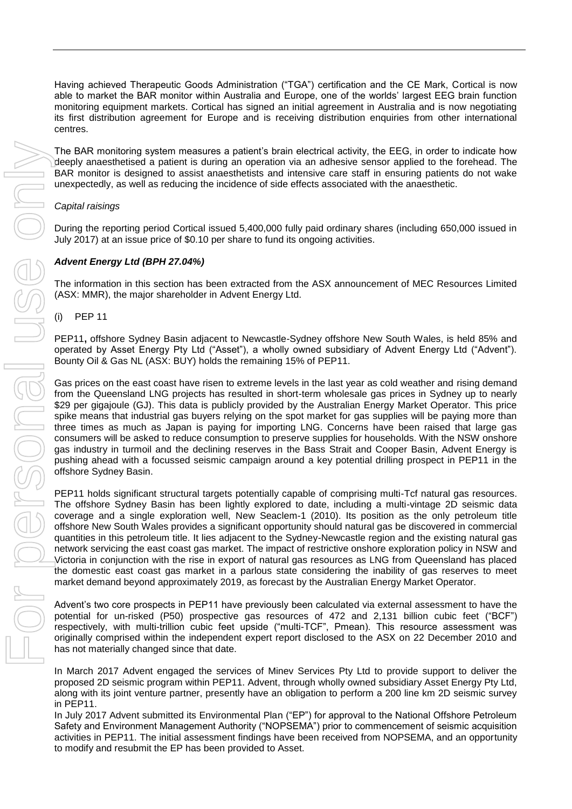Having achieved Therapeutic Goods Administration ("TGA") certification and the CE Mark, Cortical is now able to market the BAR monitor within Australia and Europe, one of the worlds' largest EEG brain function monitoring equipment markets. Cortical has signed an initial agreement in Australia and is now negotiating its first distribution agreement for Europe and is receiving distribution enquiries from other international centres.

The BAR monitoring system measures a patient's brain electrical activity, the EEG, in order to indicate how deeply anaesthetised a patient is during an operation via an adhesive sensor applied to the forehead. The BAR monitor is designed to assist anaesthetists and intensive care staff in ensuring patients do not wake unexpectedly, as well as reducing the incidence of side effects associated with the anaesthetic.

## *Capital raisings*

During the reporting period Cortical issued 5,400,000 fully paid ordinary shares (including 650,000 issued in July 2017) at an issue price of \$0.10 per share to fund its ongoing activities.

# *Advent Energy Ltd (BPH 27.04%)*

The information in this section has been extracted from the ASX announcement of MEC Resources Limited (ASX: MMR), the major shareholder in Advent Energy Ltd.

(i) PEP 11

PEP11**,** offshore Sydney Basin adjacent to Newcastle-Sydney offshore New South Wales, is held 85% and operated by Asset Energy Pty Ltd ("Asset"), a wholly owned subsidiary of Advent Energy Ltd ("Advent"). Bounty Oil & Gas NL (ASX: BUY) holds the remaining 15% of PEP11.

Gas prices on the east coast have risen to extreme levels in the last year as cold weather and rising demand from the Queensland LNG projects has resulted in short-term wholesale gas prices in Sydney up to nearly \$29 per gigajoule (GJ). This data is publicly provided by the Australian Energy Market Operator. This price spike means that industrial gas buyers relying on the spot market for gas supplies will be paying more than three times as much as Japan is paying for importing LNG. Concerns have been raised that large gas consumers will be asked to reduce consumption to preserve supplies for households. With the NSW onshore gas industry in turmoil and the declining reserves in the Bass Strait and Cooper Basin, Advent Energy is pushing ahead with a focussed seismic campaign around a key potential drilling prospect in PEP11 in the offshore Sydney Basin.

PEP11 holds significant structural targets potentially capable of comprising multi-Tcf natural gas resources. The offshore Sydney Basin has been lightly explored to date, including a multi-vintage 2D seismic data coverage and a single exploration well, New Seaclem-1 (2010). Its position as the only petroleum title offshore New South Wales provides a significant opportunity should natural gas be discovered in commercial quantities in this petroleum title. It lies adjacent to the Sydney-Newcastle region and the existing natural gas network servicing the east coast gas market. The impact of restrictive onshore exploration policy in NSW and Victoria in conjunction with the rise in export of natural gas resources as LNG from Queensland has placed the domestic east coast gas market in a parlous state considering the inability of gas reserves to meet market demand beyond approximately 2019, as forecast by the Australian Energy Market Operator.

Advent's two core prospects in PEP11 have previously been calculated via external assessment to have the potential for un-risked (P50) prospective gas resources of 472 and 2,131 billion cubic feet ("BCF") respectively, with multi-trillion cubic feet upside ("multi-TCF", Pmean). This resource assessment was originally comprised within the independent expert report disclosed to the ASX on 22 December 2010 and has not materially changed since that date.

In March 2017 Advent engaged the services of Minev Services Pty Ltd to provide support to deliver the proposed 2D seismic program within PEP11. Advent, through wholly owned subsidiary Asset Energy Pty Ltd, along with its joint venture partner, presently have an obligation to perform a 200 line km 2D seismic survey in PEP11.

In July 2017 Advent submitted its Environmental Plan ("EP") for approval to the National Offshore Petroleum Safety and Environment Management Authority ("NOPSEMA") prior to commencement of seismic acquisition activities in PEP11. The initial assessment findings have been received from NOPSEMA, and an opportunity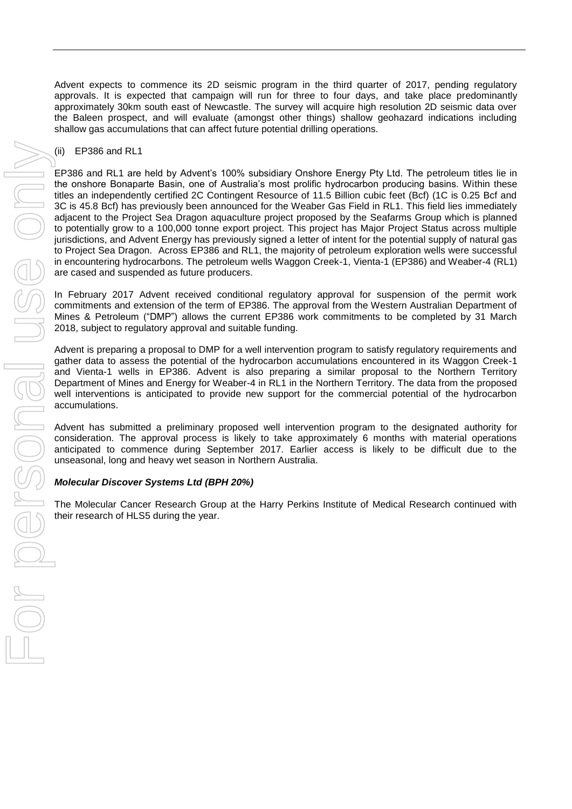Advent expects to commence its 2D seismic program in the third quarter of 2017, pending regulatory approvals. It is expected that campaign will run for three to four days, and take place predominantly approximately 30km south east of Newcastle. The survey will acquire high resolution 2D seismic data over the Baleen prospect, and will evaluate (amongst other things) shallow geohazard indications including shallow gas accumulations that can affect future potential drilling operations.

#### (ii) EP386 and RL1

EP386 and RL1 are held by Advent's 100% subsidiary Onshore Energy Pty Ltd. The petroleum titles lie in the onshore Bonaparte Basin, one of Australia's most prolific hydrocarbon producing basins. Within these titles an independently certified 2C Contingent Resource of 11.5 Billion cubic feet (Bcf) (1C is 0.25 Bcf and 3C is 45.8 Bcf) has previously been announced for the Weaber Gas Field in RL1. This field lies immediately adjacent to the Project Sea Dragon aquaculture project proposed by the Seafarms Group which is planned to potentially grow to a 100,000 tonne export project. This project has Major Project Status across multiple jurisdictions, and Advent Energy has previously signed a letter of intent for the potential supply of natural gas to Project Sea Dragon. Across EP386 and RL1, the majority of petroleum exploration wells were successful in encountering hydrocarbons. The petroleum wells Waggon Creek-1, Vienta-1 (EP386) and Weaber-4 (RL1) are cased and suspended as future producers.

In February 2017 Advent received conditional regulatory approval for suspension of the permit work commitments and extension of the term of EP386. The approval from the Western Australian Department of Mines & Petroleum ("DMP") allows the current EP386 work commitments to be completed by 31 March 2018, subject to regulatory approval and suitable funding.

Advent is preparing a proposal to DMP for a well intervention program to satisfy regulatory requirements and gather data to assess the potential of the hydrocarbon accumulations encountered in its Waggon Creek-1 and Vienta-1 wells in EP386. Advent is also preparing a similar proposal to the Northern Territory Department of Mines and Energy for Weaber-4 in RL1 in the Northern Territory. The data from the proposed well interventions is anticipated to provide new support for the commercial potential of the hydrocarbon accumulations.

Advent has submitted a preliminary proposed well intervention program to the designated authority for consideration. The approval process is likely to take approximately 6 months with material operations anticipated to commence during September 2017. Earlier access is likely to be difficult due to the unseasonal, long and heavy wet season in Northern Australia.

## *Molecular Discover Systems Ltd (BPH 20%)*

The Molecular Cancer Research Group at the Harry Perkins Institute of Medical Research continued with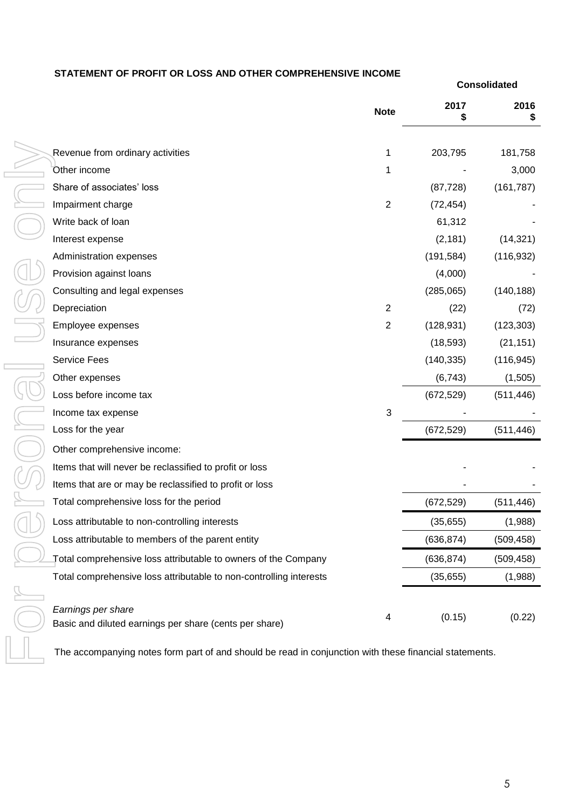## **STATEMENT OF PROFIT OR LOSS AND OTHER COMPREHENSIVE INCOME**

|                                                                                                        | <b>Note</b>    | 2017       | 2016       |
|--------------------------------------------------------------------------------------------------------|----------------|------------|------------|
|                                                                                                        |                |            |            |
| Revenue from ordinary activities                                                                       | 1              | 203,795    | 181,758    |
| Other income                                                                                           | 1              |            | 3,000      |
| Share of associates' loss                                                                              |                | (87, 728)  | (161, 787) |
| Impairment charge                                                                                      | $\overline{2}$ | (72, 454)  |            |
| Write back of loan                                                                                     |                | 61,312     |            |
| Interest expense                                                                                       |                | (2, 181)   | (14, 321)  |
| Administration expenses                                                                                |                | (191, 584) | (116, 932) |
| Provision against loans                                                                                |                | (4,000)    |            |
| Consulting and legal expenses                                                                          |                | (285,065)  | (140, 188) |
| Depreciation                                                                                           | $\overline{2}$ | (22)       | (72)       |
| Employee expenses                                                                                      | $\overline{2}$ | (128, 931) | (123, 303) |
| Insurance expenses                                                                                     |                | (18, 593)  | (21, 151)  |
| Service Fees                                                                                           |                | (140, 335) | (116, 945) |
| Other expenses                                                                                         |                | (6, 743)   | (1, 505)   |
| Loss before income tax                                                                                 |                | (672, 529) | (511, 446) |
| Income tax expense                                                                                     | 3              |            |            |
| Loss for the year                                                                                      |                | (672, 529) | (511, 446) |
| Other comprehensive income:                                                                            |                |            |            |
| Items that will never be reclassified to profit or loss                                                |                |            |            |
| Items that are or may be reclassified to profit or loss                                                |                |            |            |
| Total comprehensive loss for the period                                                                |                | (672, 529) | (511, 446) |
| Loss attributable to non-controlling interests                                                         |                | (35, 655)  | (1,988)    |
| Loss attributable to members of the parent entity                                                      |                | (636, 874) | (509, 458) |
| Total comprehensive loss attributable to owners of the Company                                         |                | (636, 874) | (509, 458) |
| Total comprehensive loss attributable to non-controlling interests                                     |                | (35, 655)  | (1,988)    |
| Earnings per share                                                                                     |                |            |            |
| Basic and diluted earnings per share (cents per share)                                                 | 4              | (0.15)     | (0.22)     |
| The accompanying notes form part of and should be read in conjunction with these financial statements. |                |            |            |

 **Consolidated**

**2016**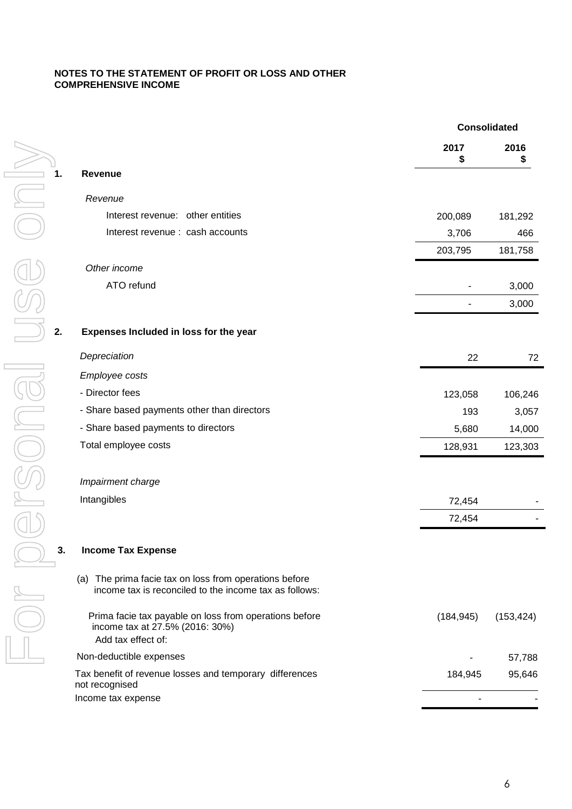### **NOTES TO THE STATEMENT OF PROFIT OR LOSS AND OTHER COMPREHENSIVE INCOME**

|    |                                                                                                                  |            | <b>Consolidated</b> |
|----|------------------------------------------------------------------------------------------------------------------|------------|---------------------|
|    |                                                                                                                  | 2017<br>\$ | 2016                |
| 1. | <b>Revenue</b>                                                                                                   |            |                     |
|    | Revenue                                                                                                          |            |                     |
|    | Interest revenue: other entities                                                                                 | 200,089    | 181,292             |
|    | Interest revenue : cash accounts                                                                                 | 3,706      | 466                 |
|    |                                                                                                                  | 203,795    | 181,758             |
|    | Other income                                                                                                     |            |                     |
|    | ATO refund                                                                                                       |            | 3,000               |
|    |                                                                                                                  |            | 3,000               |
| 2. | Expenses Included in loss for the year                                                                           |            |                     |
|    | Depreciation                                                                                                     | 22         | 72                  |
|    | Employee costs                                                                                                   |            |                     |
|    | - Director fees                                                                                                  | 123,058    | 106,246             |
|    | - Share based payments other than directors                                                                      | 193        | 3,057               |
|    | - Share based payments to directors                                                                              | 5,680      | 14,000              |
|    | Total employee costs                                                                                             | 128,931    | 123,303             |
|    | Impairment charge                                                                                                |            |                     |
|    | Intangibles                                                                                                      | 72,454     |                     |
|    |                                                                                                                  | 72,454     |                     |
| 3. | <b>Income Tax Expense</b>                                                                                        |            |                     |
|    | (a) The prima facie tax on loss from operations before<br>income tax is reconciled to the income tax as follows: |            |                     |
|    | Prima facie tax payable on loss from operations before<br>income tax at 27.5% (2016: 30%)<br>Add tax effect of:  | (184, 945) | (153, 424)          |
|    | Non-deductible expenses                                                                                          |            | 57,788              |
|    | Tax benefit of revenue losses and temporary differences<br>not recognised                                        | 184,945    | 95,646              |
|    | Income tax expense                                                                                               |            |                     |
|    |                                                                                                                  |            |                     |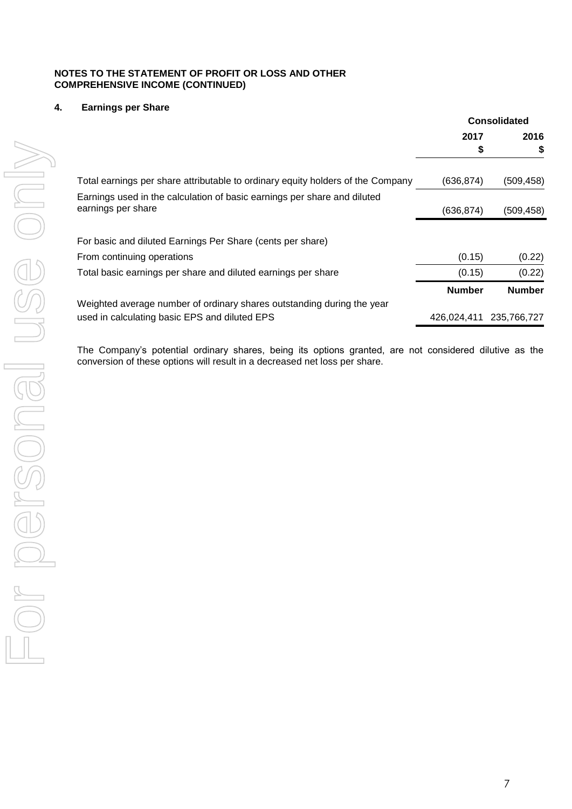#### **NOTES TO THE STATEMENT OF PROFIT OR LOSS AND OTHER COMPREHENSIVE INCOME (CONTINUED)**

# **4. Earnings per Share**

|                                                                                                |               | <b>Consolidated</b> |
|------------------------------------------------------------------------------------------------|---------------|---------------------|
|                                                                                                | 2017          | 2016                |
|                                                                                                | \$            | \$                  |
| Total earnings per share attributable to ordinary equity holders of the Company                | (636, 874)    | (509, 458)          |
| Earnings used in the calculation of basic earnings per share and diluted<br>earnings per share | (636, 874)    | (509, 458)          |
| For basic and diluted Earnings Per Share (cents per share)                                     |               |                     |
| From continuing operations                                                                     | (0.15)        | (0.22)              |
| Total basic earnings per share and diluted earnings per share                                  | (0.15)        | (0.22)              |
|                                                                                                | <b>Number</b> | <b>Number</b>       |
| Weighted average number of ordinary shares outstanding during the year                         |               |                     |
| used in calculating basic EPS and diluted EPS                                                  | 426.024.411   | 235.766.727         |

The Company's potential ordinary shares, being its options granted, are not considered dilutive as the conversion of these options will result in a decreased net loss per share.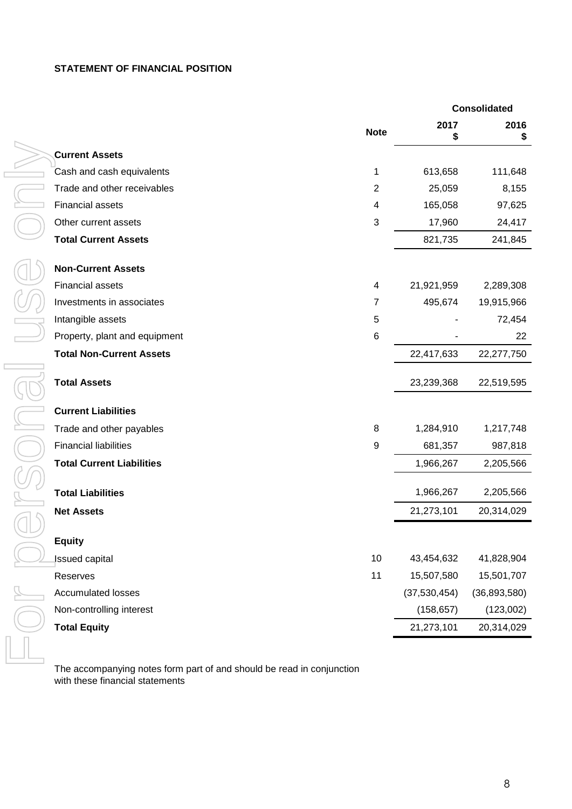# **STATEMENT OF FINANCIAL POSITION**

|                                  |                  |              | <b>Consolidated</b> |
|----------------------------------|------------------|--------------|---------------------|
|                                  | <b>Note</b>      | 2017<br>\$   | 2016<br>S           |
| <b>Current Assets</b>            |                  |              |                     |
| Cash and cash equivalents        | 1                | 613,658      | 111,648             |
| Trade and other receivables      | $\mathbf{2}$     | 25,059       | 8,155               |
| <b>Financial assets</b>          | 4                | 165,058      | 97,625              |
| Other current assets             | $\sqrt{3}$       | 17,960       | 24,417              |
| <b>Total Current Assets</b>      |                  | 821,735      | 241,845             |
| <b>Non-Current Assets</b>        |                  |              |                     |
| <b>Financial assets</b>          | 4                | 21,921,959   | 2,289,308           |
| Investments in associates        | $\overline{7}$   | 495,674      | 19,915,966          |
| Intangible assets                | $\sqrt{5}$       |              | 72,454              |
| Property, plant and equipment    | $\,6$            |              | 22                  |
| <b>Total Non-Current Assets</b>  |                  | 22,417,633   | 22,277,750          |
| <b>Total Assets</b>              |                  | 23,239,368   | 22,519,595          |
| <b>Current Liabilities</b>       |                  |              |                     |
| Trade and other payables         | 8                | 1,284,910    | 1,217,748           |
| <b>Financial liabilities</b>     | $\boldsymbol{9}$ | 681,357      | 987,818             |
| <b>Total Current Liabilities</b> |                  | 1,966,267    | 2,205,566           |
| <b>Total Liabilities</b>         |                  | 1,966,267    | 2,205,566           |
| <b>Net Assets</b>                |                  | 21,273,101   | 20,314,029          |
| <b>Equity</b>                    |                  |              |                     |
| <b>Issued capital</b>            | 10               | 43,454,632   | 41,828,904          |
| Reserves                         | 11               | 15,507,580   | 15,501,707          |
| <b>Accumulated losses</b>        |                  | (37,530,454) | (36, 893, 580)      |
| Non-controlling interest         |                  | (158, 657)   | (123,002)           |
| <b>Total Equity</b>              |                  | 21,273,101   | 20,314,029          |
|                                  |                  |              |                     |

The accompanying notes form part of and should be read in conjunction with these financial statements

**2016 \$**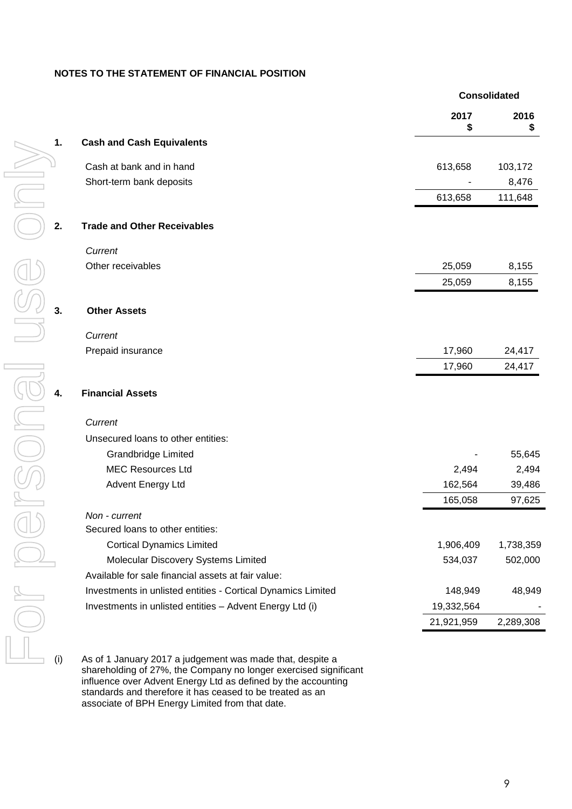### **NOTES TO THE STATEMENT OF FINANCIAL POSITION**

|    |                                                              | <b>Consolidated</b> |            |
|----|--------------------------------------------------------------|---------------------|------------|
|    |                                                              | 2017<br>\$          | 2016<br>\$ |
| 1. | <b>Cash and Cash Equivalents</b>                             |                     |            |
|    | Cash at bank and in hand                                     | 613,658             | 103,172    |
|    | Short-term bank deposits                                     |                     | 8,476      |
|    |                                                              | 613,658             | 111,648    |
| 2. | <b>Trade and Other Receivables</b>                           |                     |            |
|    | Current                                                      |                     |            |
|    | Other receivables                                            | 25,059              | 8,155      |
|    |                                                              | 25,059              | 8,155      |
| 3. | <b>Other Assets</b>                                          |                     |            |
|    | Current                                                      |                     |            |
|    | Prepaid insurance                                            | 17,960              | 24,417     |
|    |                                                              | 17,960              | 24,417     |
| 4. | <b>Financial Assets</b>                                      |                     |            |
|    | Current                                                      |                     |            |
|    | Unsecured loans to other entities:                           |                     |            |
|    | <b>Grandbridge Limited</b>                                   |                     | 55,645     |
|    | <b>MEC Resources Ltd</b>                                     | 2,494               | 2,494      |
|    | <b>Advent Energy Ltd</b>                                     | 162,564             | 39,486     |
|    |                                                              | 165,058             | 97,625     |
|    | Non - current                                                |                     |            |
|    | Secured loans to other entities:                             |                     |            |
|    | <b>Cortical Dynamics Limited</b>                             | 1,906,409           | 1,738,359  |
| E  | Molecular Discovery Systems Limited                          | 534,037             | 502,000    |
|    | Available for sale financial assets at fair value:           |                     |            |
|    | Investments in unlisted entities - Cortical Dynamics Limited | 148,949             | 48,949     |
|    | Investments in unlisted entities - Advent Energy Ltd (i)     | 19,332,564          |            |
|    |                                                              | 21,921,959          | 2,289,308  |

(i) As of 1 January 2017 a judgement was made that, despite a shareholding of 27%, the Company no longer exercised significant influence over Advent Energy Ltd as defined by the accounting standards and therefore it has ceased to be treated as an associate of BPH Energy Limited from that date.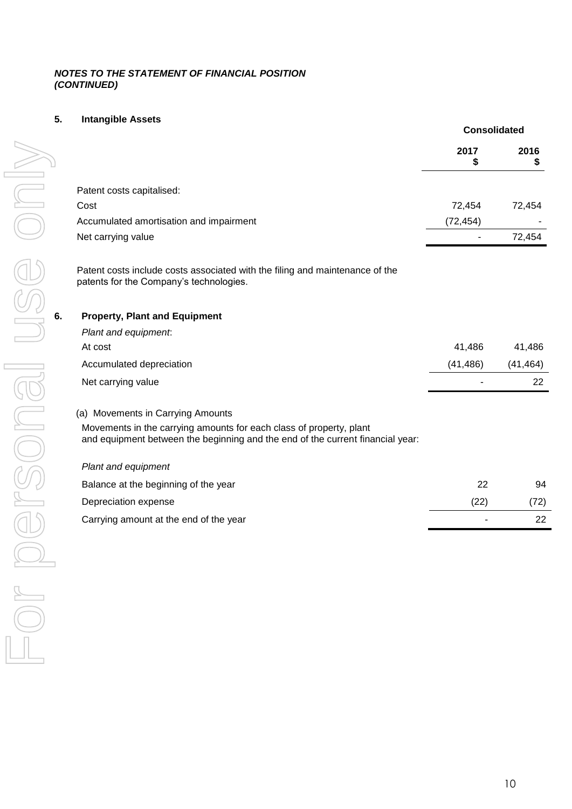## *NOTES TO THE STATEMENT OF FINANCIAL POSITION (CONTINUED)*

# **5. Intangible Assets**

|    |                                                                                                                                                       | <b>Consolidated</b> |           |
|----|-------------------------------------------------------------------------------------------------------------------------------------------------------|---------------------|-----------|
|    |                                                                                                                                                       | 2017<br>\$          | 2016<br>S |
|    | Patent costs capitalised:                                                                                                                             |                     |           |
|    | Cost                                                                                                                                                  | 72,454              | 72,454    |
|    | Accumulated amortisation and impairment                                                                                                               | (72, 454)           |           |
|    | Net carrying value                                                                                                                                    |                     | 72,454    |
|    | Patent costs include costs associated with the filing and maintenance of the<br>patents for the Company's technologies.                               |                     |           |
| 6. | <b>Property, Plant and Equipment</b>                                                                                                                  |                     |           |
|    | Plant and equipment.                                                                                                                                  |                     |           |
|    | At cost                                                                                                                                               | 41,486              | 41,486    |
|    | Accumulated depreciation                                                                                                                              | (41, 486)           | (41, 464) |
|    | Net carrying value                                                                                                                                    |                     | 22        |
|    | (a) Movements in Carrying Amounts                                                                                                                     |                     |           |
|    | Movements in the carrying amounts for each class of property, plant<br>and equipment between the beginning and the end of the current financial year: |                     |           |
|    | Plant and equipment                                                                                                                                   |                     |           |
|    | Balance at the beginning of the year                                                                                                                  | 22                  | 94        |
|    | Depreciation expense                                                                                                                                  | (22)                | (72)      |
|    | Carrying amount at the end of the year                                                                                                                |                     | 22        |
|    |                                                                                                                                                       |                     |           |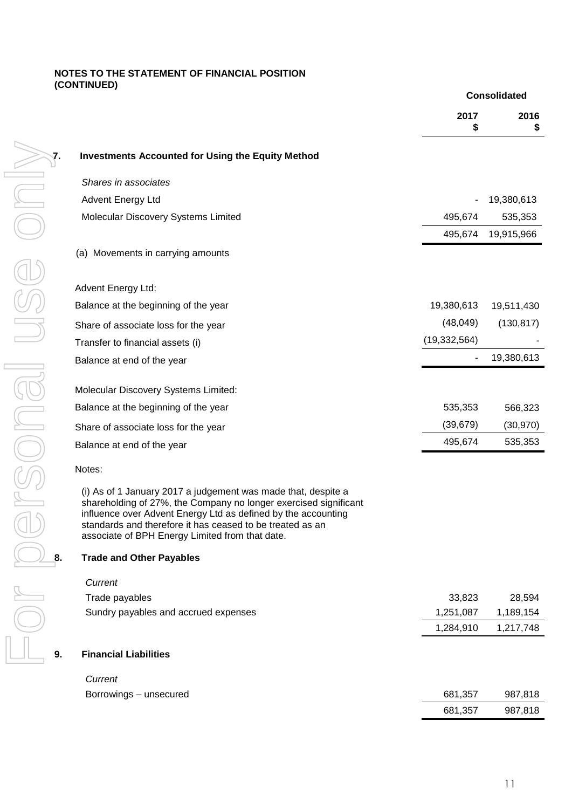### **NOTES TO THE STATEMENT OF FINANCIAL POSITION (CONTINUED)**

|    |                                                                                                                                                                                                                                                                                                                    |                | <b>Consolidated</b> |
|----|--------------------------------------------------------------------------------------------------------------------------------------------------------------------------------------------------------------------------------------------------------------------------------------------------------------------|----------------|---------------------|
|    |                                                                                                                                                                                                                                                                                                                    | 2017<br>\$     | 2016<br>\$          |
| 7. | <b>Investments Accounted for Using the Equity Method</b>                                                                                                                                                                                                                                                           |                |                     |
|    | Shares in associates                                                                                                                                                                                                                                                                                               |                |                     |
|    | Advent Energy Ltd                                                                                                                                                                                                                                                                                                  |                | 19,380,613          |
|    | Molecular Discovery Systems Limited                                                                                                                                                                                                                                                                                | 495,674        | 535,353             |
|    |                                                                                                                                                                                                                                                                                                                    | 495,674        | 19,915,966          |
|    | (a) Movements in carrying amounts                                                                                                                                                                                                                                                                                  |                |                     |
|    | Advent Energy Ltd:                                                                                                                                                                                                                                                                                                 |                |                     |
|    | Balance at the beginning of the year                                                                                                                                                                                                                                                                               | 19,380,613     | 19,511,430          |
|    | Share of associate loss for the year                                                                                                                                                                                                                                                                               | (48,049)       | (130, 817)          |
|    | Transfer to financial assets (i)                                                                                                                                                                                                                                                                                   | (19, 332, 564) |                     |
|    | Balance at end of the year                                                                                                                                                                                                                                                                                         | ٠              | 19,380,613          |
|    | Molecular Discovery Systems Limited:                                                                                                                                                                                                                                                                               |                |                     |
|    | Balance at the beginning of the year                                                                                                                                                                                                                                                                               | 535,353        | 566,323             |
|    | Share of associate loss for the year                                                                                                                                                                                                                                                                               | (39, 679)      | (30, 970)           |
|    | Balance at end of the year                                                                                                                                                                                                                                                                                         | 495,674        | 535,353             |
|    | Notes:                                                                                                                                                                                                                                                                                                             |                |                     |
|    | (i) As of 1 January 2017 a judgement was made that, despite a<br>shareholding of 27%, the Company no longer exercised significant<br>influence over Advent Energy Ltd as defined by the accounting<br>standards and therefore it has ceased to be treated as an<br>associate of BPH Energy Limited from that date. |                |                     |
| 8. | <b>Trade and Other Payables</b>                                                                                                                                                                                                                                                                                    |                |                     |
|    | Current                                                                                                                                                                                                                                                                                                            |                |                     |
|    | Trade payables                                                                                                                                                                                                                                                                                                     | 33,823         | 28,594              |
|    | Sundry payables and accrued expenses                                                                                                                                                                                                                                                                               | 1,251,087      | 1,189,154           |
|    |                                                                                                                                                                                                                                                                                                                    | 1,284,910      | 1,217,748           |
| 9. | <b>Financial Liabilities</b>                                                                                                                                                                                                                                                                                       |                |                     |
|    | Current                                                                                                                                                                                                                                                                                                            |                |                     |
|    | Borrowings - unsecured                                                                                                                                                                                                                                                                                             | 681,357        | 987,818             |
|    |                                                                                                                                                                                                                                                                                                                    | 681,357        | 987,818             |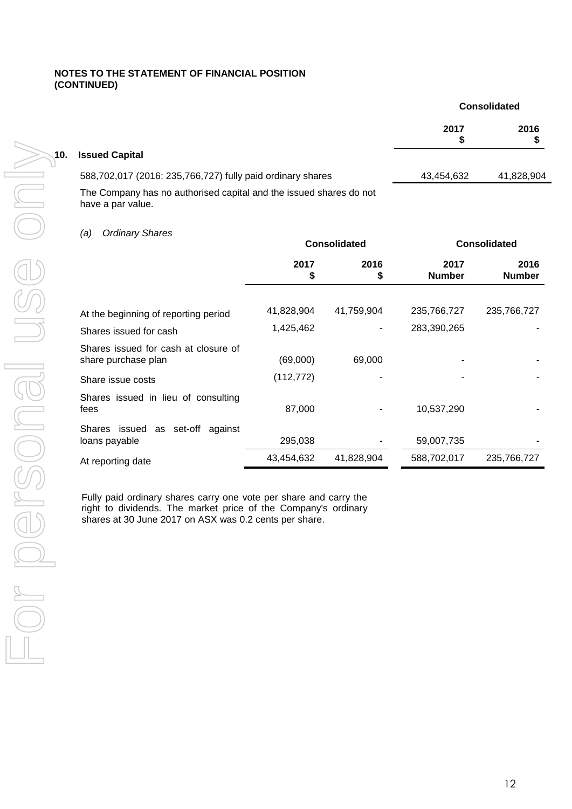## **NOTES TO THE STATEMENT OF FINANCIAL POSITION (CONTINUED)**

|                      |                                                                    | <b>Consolidated</b> |            |
|----------------------|--------------------------------------------------------------------|---------------------|------------|
|                      |                                                                    | 2017                | 2016       |
| $\smallsetminus$ 10. | <b>Issued Capital</b>                                              |                     |            |
|                      | 588,702,017 (2016: 235,766,727) fully paid ordinary shares         | 43,454,632          | 41,828,904 |
|                      | The Company has no authorised capital and the issued shares do not |                     |            |

have a par value.

# *(a) Ordinary Shares*

|                                                             |            | <b>Consolidated</b> | <b>Consolidated</b>   |                       |  |
|-------------------------------------------------------------|------------|---------------------|-----------------------|-----------------------|--|
|                                                             | 2017<br>\$ | 2016<br>\$          | 2017<br><b>Number</b> | 2016<br><b>Number</b> |  |
| At the beginning of reporting period                        | 41,828,904 | 41,759,904          | 235,766,727           | 235,766,727           |  |
| Shares issued for cash                                      | 1,425,462  | ٠                   | 283,390,265           |                       |  |
| Shares issued for cash at closure of<br>share purchase plan | (69,000)   | 69,000              |                       |                       |  |
| Share issue costs                                           | (112, 772) |                     |                       |                       |  |
| Shares issued in lieu of consulting<br>fees                 | 87,000     |                     | 10,537,290            |                       |  |
| Shares issued as set-off<br>against<br>loans payable        | 295,038    |                     | 59,007,735            |                       |  |
| At reporting date                                           | 43,454,632 | 41,828,904          | 588,702,017           | 235,766,727           |  |

Fully paid ordinary shares carry one vote per share and carry the right to dividends. The market price of the Company's ordinary shares at 30 June 2017 on ASX was 0.2 cents per share.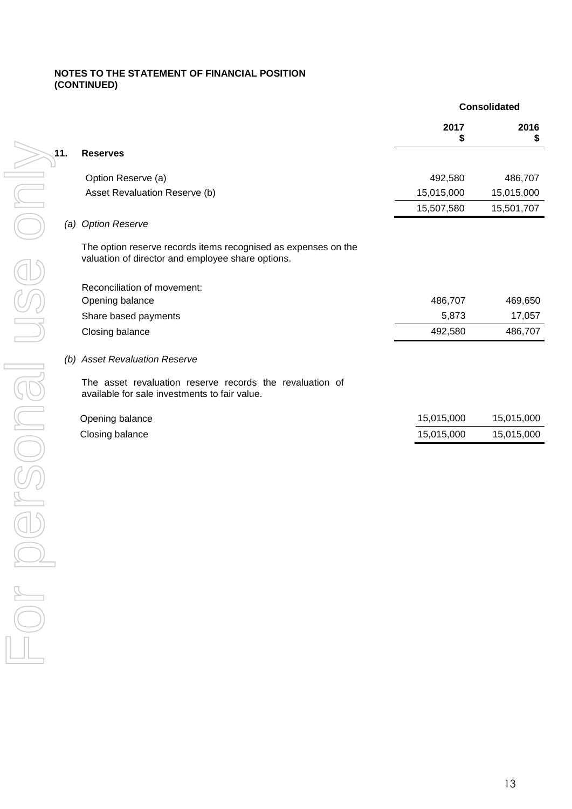## **NOTES TO THE STATEMENT OF FINANCIAL POSITION (CONTINUED)**

|     |                                                                                                                     | <b>Consolidated</b> |            |  |
|-----|---------------------------------------------------------------------------------------------------------------------|---------------------|------------|--|
|     |                                                                                                                     | 2017                | 2016<br>\$ |  |
| 11. | <b>Reserves</b>                                                                                                     |                     |            |  |
|     | Option Reserve (a)                                                                                                  | 492,580             | 486,707    |  |
|     | Asset Revaluation Reserve (b)                                                                                       | 15,015,000          | 15,015,000 |  |
|     |                                                                                                                     | 15,507,580          | 15,501,707 |  |
|     | (a) Option Reserve                                                                                                  |                     |            |  |
|     | The option reserve records items recognised as expenses on the<br>valuation of director and employee share options. |                     |            |  |
|     | Reconciliation of movement:                                                                                         |                     |            |  |
|     | Opening balance                                                                                                     | 486,707             | 469,650    |  |
|     | Share based payments                                                                                                | 5,873               | 17,057     |  |
|     | Closing balance                                                                                                     | 492,580             | 486,707    |  |
|     | (b) Asset Revaluation Reserve                                                                                       |                     |            |  |
|     | The asset revaluation reserve records the revaluation of<br>available for sale investments to fair value.           |                     |            |  |
|     | Opening balance                                                                                                     | 15,015,000          | 15,015,000 |  |
|     | Closing balance                                                                                                     | 15,015,000          | 15,015,000 |  |
|     |                                                                                                                     |                     |            |  |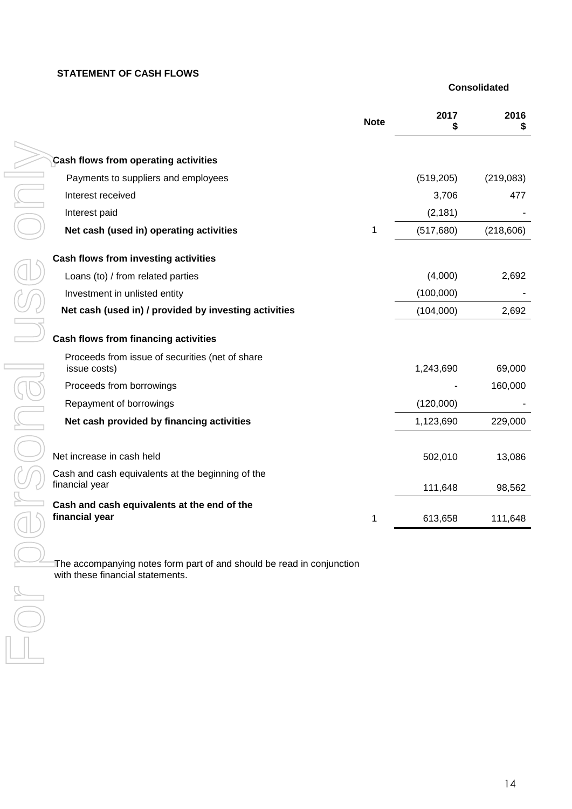## **STATEMENT OF CASH FLOWS**

 **Consolidated**

|                                                                                                           | <b>Note</b> | 2017<br>S  | 2016<br>S  |
|-----------------------------------------------------------------------------------------------------------|-------------|------------|------------|
| Cash flows from operating activities                                                                      |             |            |            |
| Payments to suppliers and employees                                                                       |             | (519, 205) | (219,083)  |
| Interest received                                                                                         |             | 3,706      | 477        |
| Interest paid                                                                                             |             | (2, 181)   |            |
| Net cash (used in) operating activities                                                                   | 1           | (517, 680) | (218, 606) |
| Cash flows from investing activities                                                                      |             |            |            |
| Loans (to) / from related parties                                                                         |             | (4,000)    | 2,692      |
| Investment in unlisted entity                                                                             |             | (100,000)  |            |
| Net cash (used in) / provided by investing activities                                                     |             | (104,000)  | 2,692      |
| Cash flows from financing activities                                                                      |             |            |            |
| Proceeds from issue of securities (net of share<br>issue costs)                                           |             | 1,243,690  | 69,000     |
| Proceeds from borrowings                                                                                  |             |            | 160,000    |
| Repayment of borrowings                                                                                   |             | (120,000)  |            |
| Net cash provided by financing activities                                                                 |             | 1,123,690  | 229,000    |
|                                                                                                           |             |            |            |
| Net increase in cash held                                                                                 |             | 502,010    | 13,086     |
| Cash and cash equivalents at the beginning of the<br>financial year                                       |             | 111,648    | 98,562     |
| Cash and cash equivalents at the end of the<br>financial year                                             | 1           | 613,658    | 111,648    |
| The accompanying notes form part of and should be read in conjunction<br>with these financial statements. |             |            |            |
|                                                                                                           |             |            |            |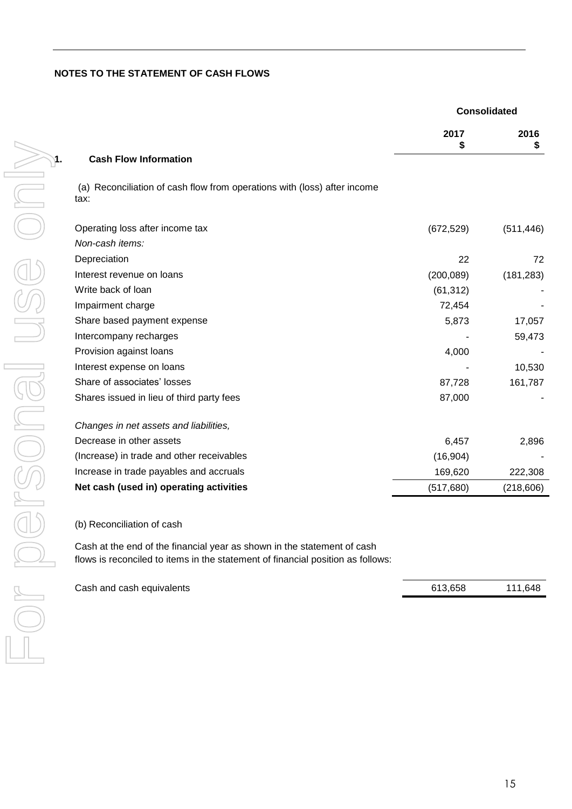## **NOTES TO THE STATEMENT OF CASH FLOWS**

|    |                                                                                  | <b>Consolidated</b> |            |  |
|----|----------------------------------------------------------------------------------|---------------------|------------|--|
|    |                                                                                  | 2017<br>\$          | 2016<br>\$ |  |
| 1. | <b>Cash Flow Information</b>                                                     |                     |            |  |
|    | (a) Reconciliation of cash flow from operations with (loss) after income<br>tax: |                     |            |  |
|    | Operating loss after income tax                                                  | (672, 529)          | (511, 446) |  |
|    | Non-cash items:                                                                  |                     |            |  |
|    | Depreciation                                                                     | 22                  | 72         |  |
|    | Interest revenue on loans                                                        | (200, 089)          | (181, 283) |  |
|    | Write back of loan                                                               | (61, 312)           |            |  |
|    | Impairment charge                                                                | 72,454              |            |  |
|    | Share based payment expense                                                      | 5,873               | 17,057     |  |
|    | Intercompany recharges                                                           |                     | 59,473     |  |
|    | Provision against loans                                                          | 4,000               |            |  |
|    | Interest expense on loans                                                        |                     | 10,530     |  |
|    | Share of associates' losses                                                      | 87,728              | 161,787    |  |
|    | Shares issued in lieu of third party fees                                        | 87,000              |            |  |
|    | Changes in net assets and liabilities,                                           |                     |            |  |
|    | Decrease in other assets                                                         | 6,457               | 2,896      |  |
|    | (Increase) in trade and other receivables                                        | (16, 904)           |            |  |
|    | Increase in trade payables and accruals                                          | 169,620             | 222,308    |  |
|    | Net cash (used in) operating activities                                          | (517, 680)          | (218, 606) |  |

(b) Reconciliation of cash

Cash at the end of the financial year as shown in the statement of cash flows is reconciled to items in the statement of financial position as follows:

| Cash and cash equivalents | 613,658 | 111,648 |
|---------------------------|---------|---------|
|                           |         |         |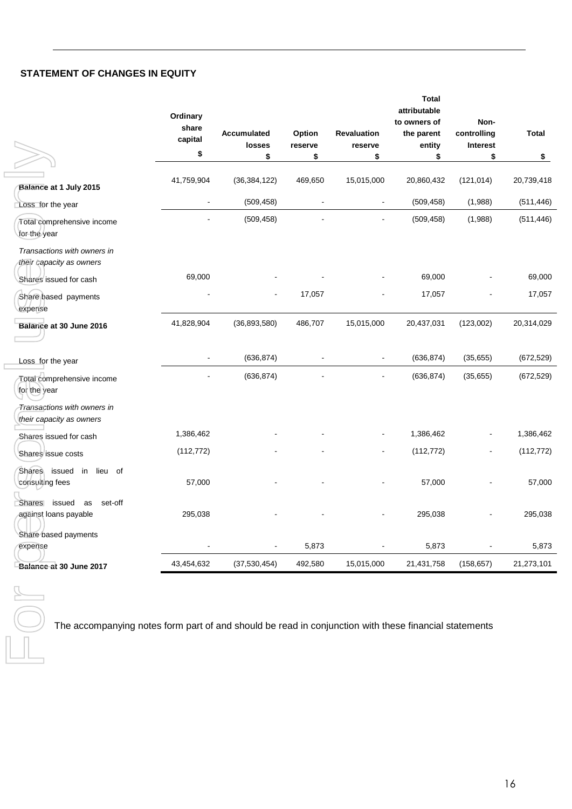# **STATEMENT OF CHANGES IN EQUITY**

|                                                                                                       | Ordinary<br>share<br>capital<br>\$ | Accumulated<br>losses<br>\$ | Option<br>reserve<br>\$ | <b>Revaluation</b><br>reserve<br>\$ | <b>Total</b><br>attributable<br>to owners of<br>the parent<br>entity<br>\$ | Non-<br>controlling<br><b>Interest</b><br>\$ | <b>Total</b><br>\$ |
|-------------------------------------------------------------------------------------------------------|------------------------------------|-----------------------------|-------------------------|-------------------------------------|----------------------------------------------------------------------------|----------------------------------------------|--------------------|
|                                                                                                       |                                    |                             |                         |                                     |                                                                            |                                              |                    |
| Balance at 1 July 2015                                                                                | 41,759,904                         | (36, 384, 122)              | 469,650                 | 15,015,000                          | 20,860,432                                                                 | (121, 014)                                   | 20,739,418         |
| Loss for the year                                                                                     | $\blacksquare$                     | (509, 458)                  | $\blacksquare$          | $\blacksquare$                      | (509, 458)                                                                 | (1,988)                                      | (511, 446)         |
| Total comprehensive income<br>for the year                                                            |                                    | (509, 458)                  |                         | $\blacksquare$                      | (509, 458)                                                                 | (1,988)                                      | (511, 446)         |
| Transactions with owners in<br>their capacity as owners                                               |                                    |                             |                         |                                     |                                                                            |                                              |                    |
| Shares issued for cash                                                                                | 69,000                             |                             |                         |                                     | 69,000                                                                     |                                              | 69,000             |
| Share based payments<br>expense                                                                       |                                    |                             | 17,057                  |                                     | 17,057                                                                     |                                              | 17,057             |
| Balance at 30 June 2016                                                                               | 41,828,904                         | (36, 893, 580)              | 486,707                 | 15,015,000                          | 20,437,031                                                                 | (123,002)                                    | 20,314,029         |
| Loss for the year                                                                                     | $\blacksquare$                     | (636, 874)                  | $\blacksquare$          | $\blacksquare$                      | (636, 874)                                                                 | (35, 655)                                    | (672, 529)         |
| Total comprehensive income<br>for the year                                                            |                                    | (636, 874)                  |                         |                                     | (636, 874)                                                                 | (35, 655)                                    | (672, 529)         |
| Transactions with owners in<br>their capacity as owners                                               |                                    |                             |                         |                                     |                                                                            |                                              |                    |
| Shares issued for cash                                                                                | 1,386,462                          |                             |                         | $\blacksquare$                      | 1,386,462                                                                  |                                              | 1,386,462          |
| Shares issue costs                                                                                    | (112, 772)                         |                             |                         |                                     | (112, 772)                                                                 |                                              | (112, 772)         |
| Shares issued in<br>lieu of<br>consulting fees                                                        | 57,000                             |                             |                         |                                     | 57,000                                                                     |                                              | 57,000             |
| issued<br>set-off<br><b>Shares</b><br>as<br>against loans payable                                     | 295,038                            |                             |                         | ä,                                  | 295,038                                                                    |                                              | 295,038            |
| Share based payments<br>expense                                                                       |                                    |                             | 5,873                   |                                     | 5,873                                                                      |                                              | 5,873              |
| Balance at 30 June 2017                                                                               | 43,454,632                         | (37,530,454)                | 492,580                 | 15,015,000                          | 21,431,758                                                                 | (158, 657)                                   | 21,273,101         |
| The accompanying notes form part of and should be read in conjunction with these financial statements |                                    |                             |                         |                                     |                                                                            |                                              |                    |